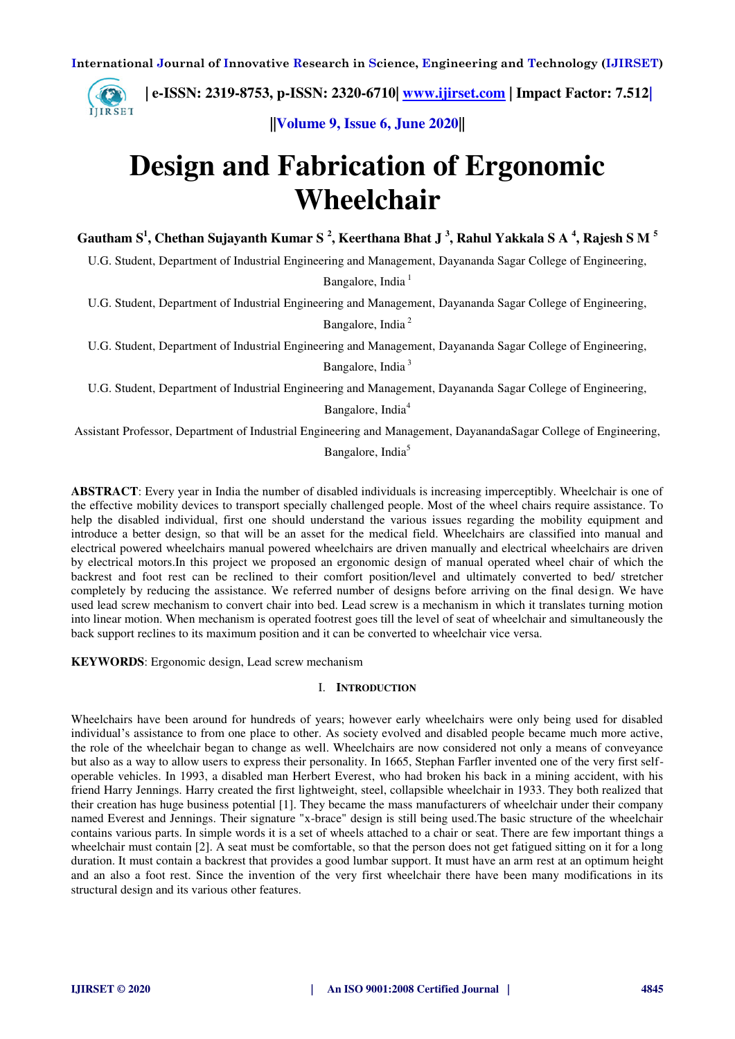

 **| e-ISSN: 2319-8753, p-ISSN: 2320-6710| [www.ijirset.com](http://www.ijirset.com/) | Impact Factor: 7.512|**

**||Volume 9, Issue 6, June 2020||** 

## **Design and Fabrication of Ergonomic Wheelchair**

**Gautham S<sup>1</sup> , Chethan Sujayanth Kumar S <sup>2</sup> , Keerthana Bhat J <sup>3</sup> , Rahul Yakkala S A <sup>4</sup> , Rajesh S M <sup>5</sup>**

U.G. Student, Department of Industrial Engineering and Management, Dayananda Sagar College of Engineering,

Bangalore, India $<sup>1</sup>$ </sup>

U.G. Student, Department of Industrial Engineering and Management, Dayananda Sagar College of Engineering,

Bangalore, India<sup>2</sup>

U.G. Student, Department of Industrial Engineering and Management, Dayananda Sagar College of Engineering,

Bangalore, India<sup>3</sup>

U.G. Student, Department of Industrial Engineering and Management, Dayananda Sagar College of Engineering,

Bangalore, India<sup>4</sup>

Assistant Professor, Department of Industrial Engineering and Management, DayanandaSagar College of Engineering,

#### Bangalore, India<sup>5</sup>

**ABSTRACT**: Every year in India the number of disabled individuals is increasing imperceptibly. Wheelchair is one of the effective mobility devices to transport specially challenged people. Most of the wheel chairs require assistance. To help the disabled individual, first one should understand the various issues regarding the mobility equipment and introduce a better design, so that will be an asset for the medical field. Wheelchairs are classified into manual and electrical powered wheelchairs manual powered wheelchairs are driven manually and electrical wheelchairs are driven by electrical motors.In this project we proposed an ergonomic design of manual operated wheel chair of which the backrest and foot rest can be reclined to their comfort position/level and ultimately converted to bed/ stretcher completely by reducing the assistance. We referred number of designs before arriving on the final design. We have used lead screw mechanism to convert chair into bed. Lead screw is a mechanism in which it translates turning motion into linear motion. When mechanism is operated footrest goes till the level of seat of wheelchair and simultaneously the back support reclines to its maximum position and it can be converted to wheelchair vice versa.

**KEYWORDS**: Ergonomic design, Lead screw mechanism

#### I. **INTRODUCTION**

Wheelchairs have been around for hundreds of years; however early wheelchairs were only being used for disabled individual's assistance to from one place to other. As society evolved and disabled people became much more active, the role of the wheelchair began to change as well. Wheelchairs are now considered not only a means of conveyance but also as a way to allow users to express their personality. In 1665, Stephan Farfler invented one of the very first selfoperable vehicles. In 1993, a disabled man Herbert Everest, who had broken his back in a mining accident, with his friend Harry Jennings. Harry created the first lightweight, steel, collapsible wheelchair in 1933. They both realized that their creation has huge business potential [1]. They became the mass manufacturers of wheelchair under their company named Everest and Jennings. Their signature "x-brace" design is still being used.The basic structure of the wheelchair contains various parts. In simple words it is a set of wheels attached to a chair or seat. There are few important things a wheelchair must contain [2]. A seat must be comfortable, so that the person does not get fatigued sitting on it for a long duration. It must contain a backrest that provides a good lumbar support. It must have an arm rest at an optimum height and an also a foot rest. Since the invention of the very first wheelchair there have been many modifications in its structural design and its various other features.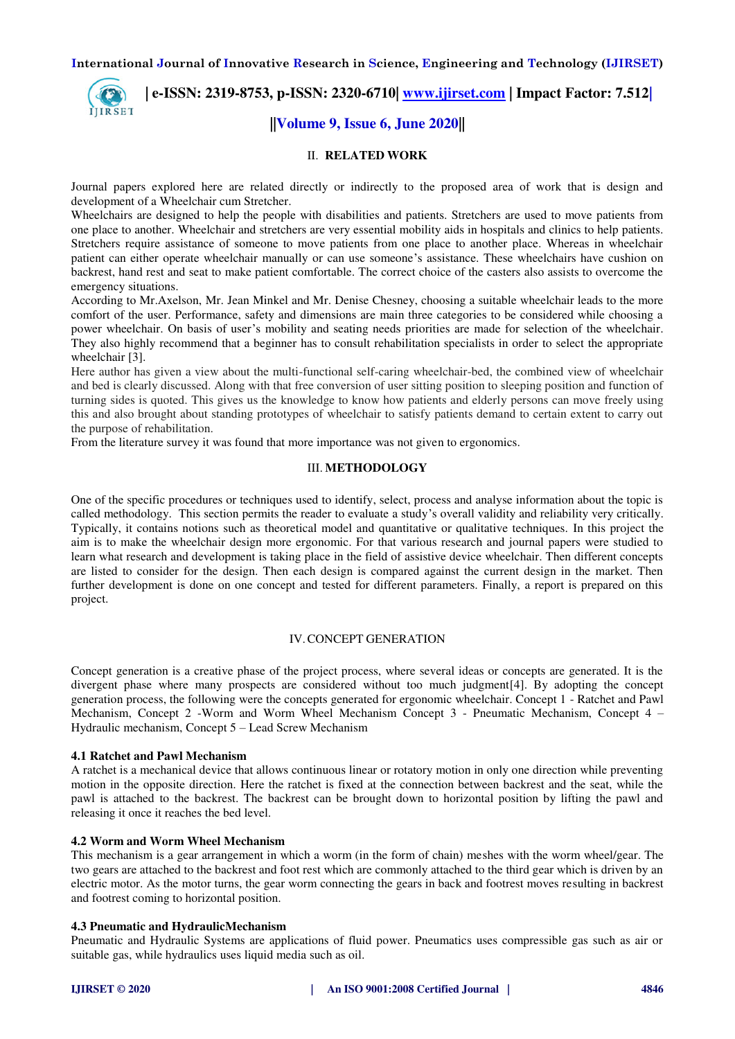

## **| e-ISSN: 2319-8753, p-ISSN: 2320-6710| [www.ijirset.com](http://www.ijirset.com/) | Impact Factor: 7.512|**

### **||Volume 9, Issue 6, June 2020||**

#### II. **RELATED WORK**

Journal papers explored here are related directly or indirectly to the proposed area of work that is design and development of a Wheelchair cum Stretcher.

Wheelchairs are designed to help the people with disabilities and patients. Stretchers are used to move patients from one place to another. Wheelchair and stretchers are very essential mobility aids in hospitals and clinics to help patients. Stretchers require assistance of someone to move patients from one place to another place. Whereas in wheelchair patient can either operate wheelchair manually or can use someone's assistance. These wheelchairs have cushion on backrest, hand rest and seat to make patient comfortable. The correct choice of the casters also assists to overcome the emergency situations.

According to Mr.Axelson, Mr. Jean Minkel and Mr. Denise Chesney, choosing a suitable wheelchair leads to the more comfort of the user. Performance, safety and dimensions are main three categories to be considered while choosing a power wheelchair. On basis of user's mobility and seating needs priorities are made for selection of the wheelchair. They also highly recommend that a beginner has to consult rehabilitation specialists in order to select the appropriate wheelchair [3].

Here author has given a view about the multi-functional self-caring wheelchair-bed, the combined view of wheelchair and bed is clearly discussed. Along with that free conversion of user sitting position to sleeping position and function of turning sides is quoted. This gives us the knowledge to know how patients and elderly persons can move freely using this and also brought about standing prototypes of wheelchair to satisfy patients demand to certain extent to carry out the purpose of rehabilitation.

From the literature survey it was found that more importance was not given to ergonomics.

#### III. **METHODOLOGY**

One of the specific procedures or techniques used to identify, select, process and analyse information about the topic is called methodology. This section permits the reader to evaluate a study's overall validity and reliability very critically. Typically, it contains notions such as theoretical model and quantitative or qualitative techniques. In this project the aim is to make the wheelchair design more ergonomic. For that various research and journal papers were studied to learn what research and development is taking place in the field of assistive device wheelchair. Then different concepts are listed to consider for the design. Then each design is compared against the current design in the market. Then further development is done on one concept and tested for different parameters. Finally, a report is prepared on this project.

#### IV.CONCEPT GENERATION

Concept generation is a creative phase of the project process, where several ideas or concepts are generated. It is the divergent phase where many prospects are considered without too much judgment[4]. By adopting the concept generation process, the following were the concepts generated for ergonomic wheelchair. Concept 1 - Ratchet and Pawl Mechanism, Concept 2 -Worm and Worm Wheel Mechanism Concept 3 - Pneumatic Mechanism, Concept 4 – Hydraulic mechanism, Concept 5 – Lead Screw Mechanism

#### **4.1 Ratchet and Pawl Mechanism**

A ratchet is a mechanical device that allows continuous linear or rotatory motion in only one direction while preventing motion in the opposite direction. Here the ratchet is fixed at the connection between backrest and the seat, while the pawl is attached to the backrest. The backrest can be brought down to horizontal position by lifting the pawl and releasing it once it reaches the bed level.

#### **4.2 Worm and Worm Wheel Mechanism**

This mechanism is a gear arrangement in which a worm (in the form of chain) meshes with the worm wheel/gear. The two gears are attached to the backrest and foot rest which are commonly attached to the third gear which is driven by an electric motor. As the motor turns, the gear worm connecting the gears in back and footrest moves resulting in backrest and footrest coming to horizontal position.

#### **4.3 Pneumatic and HydraulicMechanism**

Pneumatic and Hydraulic Systems are applications of fluid power. Pneumatics uses compressible gas such as air or suitable gas, while hydraulics uses liquid media such as oil.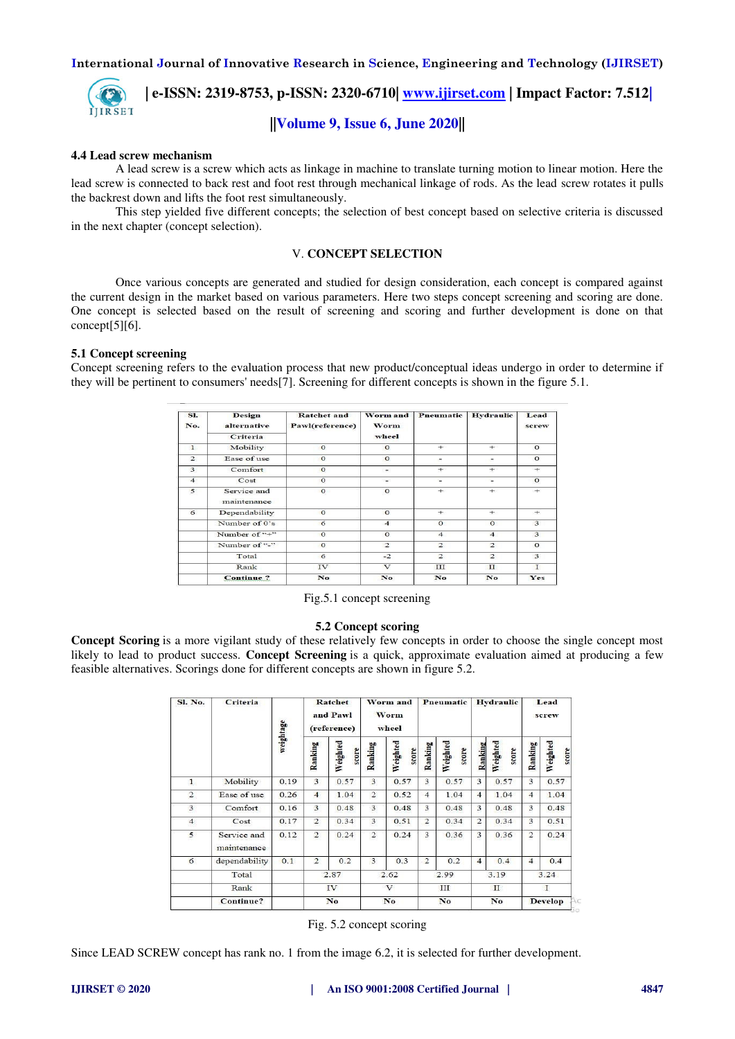

 **| e-ISSN: 2319-8753, p-ISSN: 2320-6710| [www.ijirset.com](http://www.ijirset.com/) | Impact Factor: 7.512|**

## **||Volume 9, Issue 6, June 2020||**

#### **4.4 Lead screw mechanism**

A lead screw is a screw which acts as linkage in machine to translate turning motion to linear motion. Here the lead screw is connected to back rest and foot rest through mechanical linkage of rods. As the lead screw rotates it pulls the backrest down and lifts the foot rest simultaneously.

This step yielded five different concepts; the selection of best concept based on selective criteria is discussed in the next chapter (concept selection).

#### V. **CONCEPT SELECTION**

Once various concepts are generated and studied for design consideration, each concept is compared against the current design in the market based on various parameters. Here two steps concept screening and scoring are done. One concept is selected based on the result of screening and scoring and further development is done on that concept[5][6].

#### **5.1 Concept screening**

Concept screening refers to the evaluation process that new product/conceptual ideas undergo in order to determine if they will be pertinent to consumers' needs[7]. Screening for different concepts is shown in the figure 5.1.

| SI.<br>No.     | Design<br>alternative<br><b>Criteria</b> | <b>Ratchet</b> and<br>Pawl(reference) | Worm and<br>Worm<br>wheel | Pneumatic      | Hydraulic      | Lead<br>screw |  |
|----------------|------------------------------------------|---------------------------------------|---------------------------|----------------|----------------|---------------|--|
| $\mathbf{1}$   | Mobility                                 | $\Omega$                              | $\circ$                   | $+$            | $+$            | $\Omega$      |  |
| $\overline{2}$ | Ease of use                              | $\Omega$                              | $\Omega$                  | ۰              | ÷              | $\Omega$      |  |
| 3              | Comfort                                  | $\mathbf{o}$                          | $\frac{1}{2}$             | $+$            | $+$            | $+$           |  |
| $\overline{4}$ | Cost                                     | $\Omega$                              | $\overline{a}$            | $\sim$         | $\sim$         | $\mathbf O$   |  |
| 5              | Service and<br>maintenance               | $\mathbf{O}$                          | $\mathbf{O}$              | $+$            | $+$            | $^{+}$        |  |
| 6              | Dependability                            | $\Omega$                              | $\Omega$                  | $+$            | $+$            | $+$           |  |
|                | Number of 0's                            | 6                                     | $\overline{4}$            | $\Omega$       | $\Omega$       | 3             |  |
|                | Number of "+"                            | $\Omega$                              | $\circ$                   | $\overline{4}$ | $\overline{4}$ | 3             |  |
|                | Number of "-"                            | $\Omega$                              | $\overline{2}$            | $\overline{2}$ | $\overline{2}$ | $\Omega$      |  |
|                | Total                                    | 6                                     | $-2$                      | $\overline{2}$ | $\overline{2}$ | 3             |  |
|                | Rank                                     | IV.                                   | $\sqrt{ }$                | ш              | $_{\rm II}$    | 1             |  |
|                | <b>Continue</b> ?                        | No                                    | No.                       | No             | No             | Yes           |  |

Fig.5.1 concept screening

#### **5.2 Concept scoring**

**Concept Scoring** is a more vigilant study of these relatively few concepts in order to choose the single concept most likely to lead to product success. **Concept Screening** is a quick, approximate evaluation aimed at producing a few feasible alternatives. Scorings done for different concepts are shown in figure 5.2.

| Sl. No.        | <b>Criteria</b>            | weightage | Ratchet<br>and Pawl<br>(reference) |                   | Worm and<br>Worm<br>wheel |                   | Pneumatic      |                   | <b>Hydraulic</b> |                   | Lead<br>screw  |                   |
|----------------|----------------------------|-----------|------------------------------------|-------------------|---------------------------|-------------------|----------------|-------------------|------------------|-------------------|----------------|-------------------|
|                |                            |           | Ranking                            | Weighted<br>score | Ranking                   | Weighted<br>score | Ranking        | Weighted<br>score | Ranking          | Weighted<br>score | Ranking        | Weighted<br>score |
| $\mathbf{1}$   | Mobility                   | 0.19      | 3                                  | 0.57              | 3                         | 0.57              | 3              | 0.57              | 3                | 0.57              | 3              | 0.57              |
| $\overline{2}$ | Ease of use                | 0.26      | $\overline{4}$                     | 1.04              | $\overline{2}$            | 0.52              | $\overline{4}$ | 1.04              | 4                | 1.04              | $\overline{4}$ | 1.04              |
| $\mathbf{3}$   | Comfort                    | 0.16      | 3                                  | 0.48              | 3                         | 0.48              | 3              | 0.48              | 3                | 0.48              | 3              | 0.48              |
| $\overline{4}$ | Cost                       | 0.17      | $\overline{2}$                     | 0.34              | 3                         | 0.51              | $\overline{2}$ | 0.34              | $\overline{2}$   | 0.34              | 3              | 0.51              |
| 5              | Service and<br>maintenance | 0.12      | $\overline{2}$                     | 0.24              | $\overline{2}$            | 0.24              | 3              | 0.36              | 3                | 0.36              | $\overline{2}$ | 0.24              |
| 6              | dependability              | 0.1       | $\overline{2}$                     | 0.2               | 3                         | 0.3               | $\overline{2}$ | 0.2               | $\overline{4}$   | 0.4               | $\overline{4}$ | 0.4               |
|                | Total                      |           | 2.87                               |                   | 2.62                      |                   | 2.99           |                   | 3.19             |                   | 3.24           |                   |
|                | Rank                       |           | IV                                 |                   | $\mathbf{V}$              |                   | III            |                   | $\mathbf{I}$     |                   | $\mathbf{T}$   |                   |
|                | <b>Continue?</b>           |           | No                                 |                   | No                        |                   | No             |                   | No               |                   | <b>Develop</b> |                   |

Fig. 5.2 concept scoring

Since LEAD SCREW concept has rank no. 1 from the image 6.2, it is selected for further development.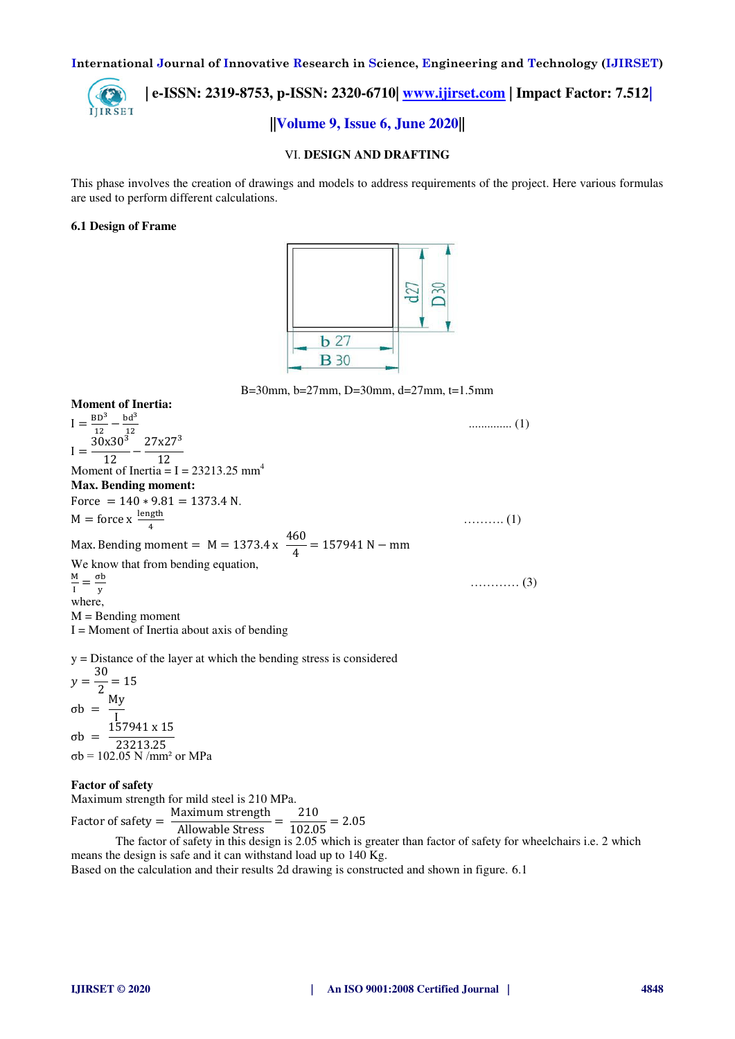

 **| e-ISSN: 2319-8753, p-ISSN: 2320-6710| [www.ijirset.com](http://www.ijirset.com/) | Impact Factor: 7.512| ||Volume 9, Issue 6, June 2020||** 

#### VI. **DESIGN AND DRAFTING**

This phase involves the creation of drawings and models to address requirements of the project. Here various formulas are used to perform different calculations.

#### **6.1 Design of Frame**



B=30mm, b=27mm, D=30mm, d=27mm, t=1.5mm

**Moment of Inertia:**   $I = \frac{BD^3}{12} - \frac{bd^3}{12}$  $\frac{12}{12} - \frac{12}{12}$ ......................................................................................................................... (1)  $I = \frac{30x30^3}{12}$  $\frac{12}{12}$  − 27x27<sup>3</sup> 12 Moment of Inertia  $= I = 23213.25$  mm<sup>4</sup> **Max. Bending moment:**  Force =  $140 * 9.81 = 1373.4$  N.  $M =$  force x  $\frac{\text{length}}{4}$ 4 ………. (1) Max. Bending moment =  $M = 1373.4 x \frac{460}{4}$  $\frac{1}{4}$  = 157941 N – mm We know that from bending equation, M  $\frac{M}{I} = \frac{\sigma b}{y}$ y ………… (3) where,  $M =$ Bending moment  $I =$  Moment of Inertia about axis of bending y = Distance of the layer at which the bending stress is considered

 $y = \frac{30}{2}$  $\frac{1}{2}$  = 15  $σb = \frac{My}{L}$ I σb = 157941 x 15 23213.25 σb = 102.05 N /mm² or MPa

#### **Factor of safety**

Maximum strength for mild steel is 210 MPa.

Factor of safety  $=$  $\frac{\text{Maximum strength}}{\text{Allowable Stress}} = \frac{210}{102.05} = 2.05$ 

The factor of safety in this design is 2.05 which is greater than factor of safety for wheelchairs i.e. 2 which means the design is safe and it can withstand load up to 140 Kg.

Based on the calculation and their results 2d drawing is constructed and shown in figure. 6.1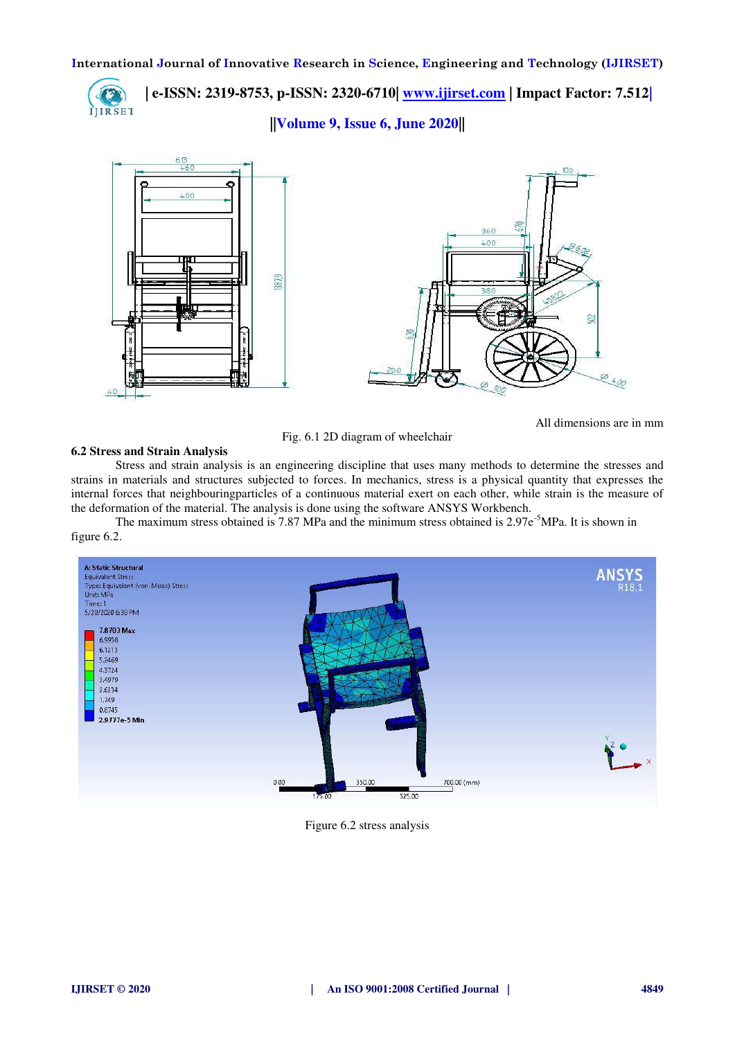

 **| e-ISSN: 2319-8753, p-ISSN: 2320-6710| [www.ijirset.com](http://www.ijirset.com/) | Impact Factor: 7.512|**

**||Volume 9, Issue 6, June 2020||** 



Fig. 6.1 2D diagram of wheelchair

All dimensions are in mm

#### **6.2 Stress and Strain Analysis**

Stress and strain analysis is an [engineering](https://en.wikipedia.org/wiki/Engineering) discipline that uses many methods to determine the [stresses](https://en.wikipedia.org/wiki/Stress_(mechanics)) and [strains](https://en.wikipedia.org/wiki/Strain_(mechanics)) in materials and structures subjected to [forces.](https://en.wikipedia.org/wiki/Force) In [mechanics,](https://en.wikipedia.org/wiki/Continuum_mechanics) stress is a [physical quantity](https://en.wikipedia.org/wiki/Physical_quantity) that expresses the internal [forces](https://en.wikipedia.org/wiki/Force) that neighbourin[gparticles](https://en.wikipedia.org/wiki/Particle) of a [continuous material](https://en.wikipedia.org/wiki/Continuum_mechanics) exert on each other, while strain is the measure of the deformation of the material. The analysis is done using the software ANSYS Workbench.

The maximum stress obtained is 7.87 MPa and the minimum stress obtained is  $2.97e^{-5}MPa$ . It is shown in figure 6.2.



Figure 6.2 stress analysis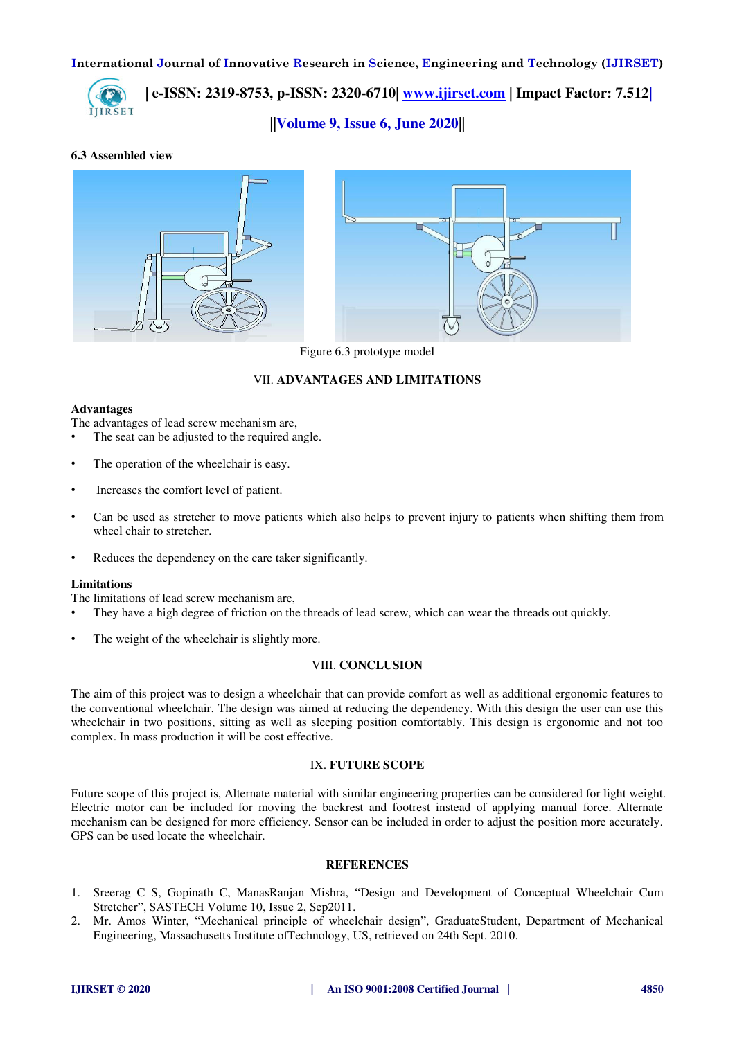

 **| e-ISSN: 2319-8753, p-ISSN: 2320-6710| [www.ijirset.com](http://www.ijirset.com/) | Impact Factor: 7.512|**

**||Volume 9, Issue 6, June 2020||** 

#### **6.3 Assembled view**



Figure 6.3 prototype model

#### VII. **ADVANTAGES AND LIMITATIONS**

#### **Advantages**

The advantages of lead screw mechanism are,

- The seat can be adjusted to the required angle.
- The operation of the wheelchair is easy.
- Increases the comfort level of patient.
- Can be used as stretcher to move patients which also helps to prevent injury to patients when shifting them from wheel chair to stretcher.
- Reduces the dependency on the care taker significantly.

#### **Limitations**

The limitations of lead screw mechanism are,

- They have a high degree of friction on the threads of lead screw, which can wear the threads out quickly.
- The weight of the wheelchair is slightly more.

#### VIII. **CONCLUSION**

The aim of this project was to design a wheelchair that can provide comfort as well as additional ergonomic features to the conventional wheelchair. The design was aimed at reducing the dependency. With this design the user can use this wheelchair in two positions, sitting as well as sleeping position comfortably. This design is ergonomic and not too complex. In mass production it will be cost effective.

#### IX. **FUTURE SCOPE**

Future scope of this project is, Alternate material with similar engineering properties can be considered for light weight. Electric motor can be included for moving the backrest and footrest instead of applying manual force. Alternate mechanism can be designed for more efficiency. Sensor can be included in order to adjust the position more accurately. GPS can be used locate the wheelchair.

#### **REFERENCES**

- 1. Sreerag C S, Gopinath C, ManasRanjan Mishra, "Design and Development of Conceptual Wheelchair Cum Stretcher", SASTECH Volume 10, Issue 2, Sep2011.
- 2. Mr. Amos Winter, "Mechanical principle of wheelchair design", GraduateStudent, Department of Mechanical Engineering, Massachusetts Institute ofTechnology, US, retrieved on 24th Sept. 2010.